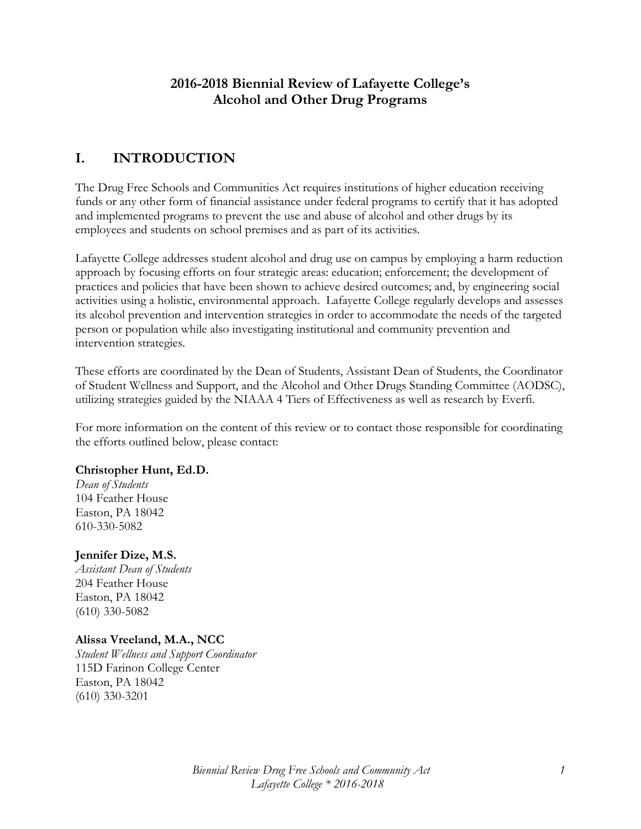## **2016-2018 Biennial Review of Lafayette College's Alcohol and Other Drug Programs**

# **I. INTRODUCTION**

The Drug Free Schools and Communities Act requires institutions of higher education receiving funds or any other form of financial assistance under federal programs to certify that it has adopted and implemented programs to prevent the use and abuse of alcohol and other drugs by its employees and students on school premises and as part of its activities.

Lafayette College addresses student alcohol and drug use on campus by employing a harm reduction approach by focusing efforts on four strategic areas: education; enforcement; the development of practices and policies that have been shown to achieve desired outcomes; and, by engineering social activities using a holistic, environmental approach. Lafayette College regularly develops and assesses its alcohol prevention and intervention strategies in order to accommodate the needs of the targeted person or population while also investigating institutional and community prevention and intervention strategies.

These efforts are coordinated by the Dean of Students, Assistant Dean of Students, the Coordinator of Student Wellness and Support, and the Alcohol and Other Drugs Standing Committee (AODSC), utilizing strategies guided by the NIAAA 4 Tiers of Effectiveness as well as research by Everfi.

For more information on the content of this review or to contact those responsible for coordinating the efforts outlined below, please contact:

#### **Christopher Hunt, Ed.D.**

*Dean of Students* 104 Feather House Easton, PA 18042 610-330-5082

#### **Jennifer Dize, M.S.**

*Assistant Dean of Students* 204 Feather House Easton, PA 18042 (610) 330-5082

#### **Alissa Vreeland, M.A., NCC**

*Student Wellness and Support Coordinator* 115D Farinon College Center Easton, PA 18042 (610) 330-3201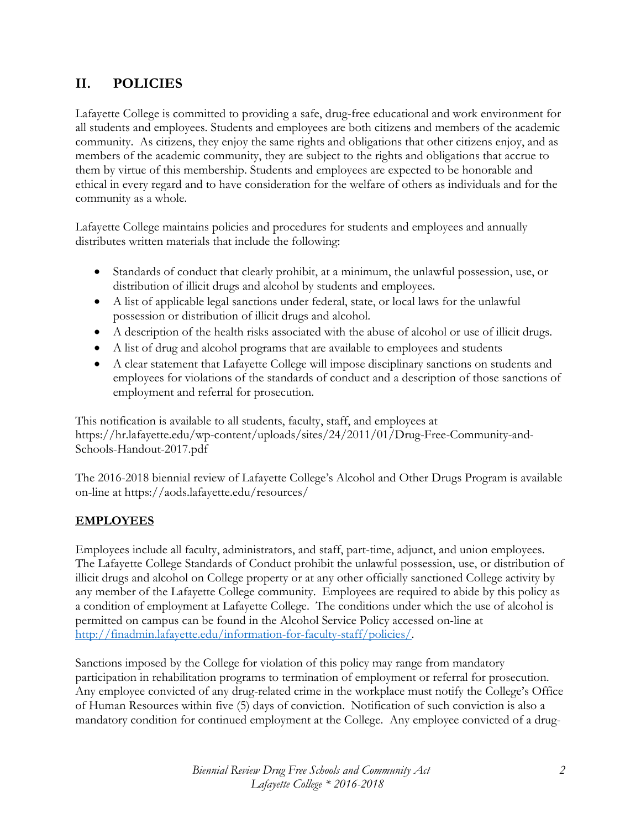# **II. POLICIES**

Lafayette College is committed to providing a safe, drug-free educational and work environment for all students and employees. Students and employees are both citizens and members of the academic community. As citizens, they enjoy the same rights and obligations that other citizens enjoy, and as members of the academic community, they are subject to the rights and obligations that accrue to them by virtue of this membership. Students and employees are expected to be honorable and ethical in every regard and to have consideration for the welfare of others as individuals and for the community as a whole.

Lafayette College maintains policies and procedures for students and employees and annually distributes written materials that include the following:

- Standards of conduct that clearly prohibit, at a minimum, the unlawful possession, use, or distribution of illicit drugs and alcohol by students and employees.
- A list of applicable legal sanctions under federal, state, or local laws for the unlawful possession or distribution of illicit drugs and alcohol.
- A description of the health risks associated with the abuse of alcohol or use of illicit drugs.
- A list of drug and alcohol programs that are available to employees and students
- A clear statement that Lafayette College will impose disciplinary sanctions on students and employees for violations of the standards of conduct and a description of those sanctions of employment and referral for prosecution.

This notification is available to all students, faculty, staff, and employees at https://hr.lafayette.edu/wp-content/uploads/sites/24/2011/01/Drug-Free-Community-and-Schools-Handout-2017.pdf

The 2016-2018 biennial review of Lafayette College's Alcohol and Other Drugs Program is available on-line at https://aods.lafayette.edu/resources/

#### **EMPLOYEES**

Employees include all faculty, administrators, and staff, part-time, adjunct, and union employees. The Lafayette College Standards of Conduct prohibit the unlawful possession, use, or distribution of illicit drugs and alcohol on College property or at any other officially sanctioned College activity by any member of the Lafayette College community. Employees are required to abide by this policy as a condition of employment at Lafayette College. The conditions under which the use of alcohol is permitted on campus can be found in the Alcohol Service Policy accessed on-line at [http://finadmin.lafayette.edu/information-for-faculty-staff/policies/.](http://finadmin.lafayette.edu/information-for-faculty-staff/policies/)

Sanctions imposed by the College for violation of this policy may range from mandatory participation in rehabilitation programs to termination of employment or referral for prosecution. Any employee convicted of any drug-related crime in the workplace must notify the College's Office of Human Resources within five (5) days of conviction. Notification of such conviction is also a mandatory condition for continued employment at the College. Any employee convicted of a drug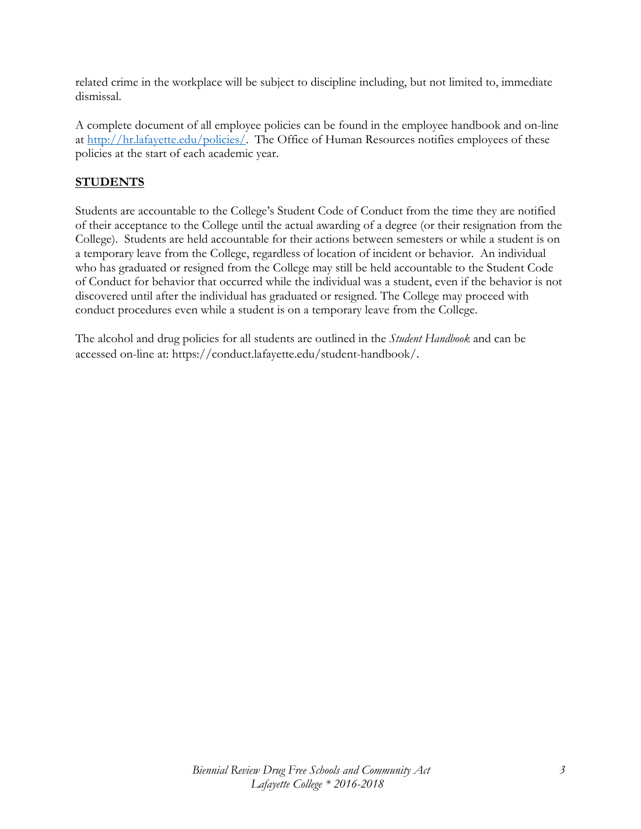related crime in the workplace will be subject to discipline including, but not limited to, immediate dismissal.

A complete document of all employee policies can be found in the employee handbook and on-line at [http://hr.lafayette.edu/policies/.](http://hr.lafayette.edu/policies/) The Office of Human Resources notifies employees of these policies at the start of each academic year.

## **STUDENTS**

Students are accountable to the College's Student Code of Conduct from the time they are notified of their acceptance to the College until the actual awarding of a degree (or their resignation from the College). Students are held accountable for their actions between semesters or while a student is on a temporary leave from the College, regardless of location of incident or behavior. An individual who has graduated or resigned from the College may still be held accountable to the Student Code of Conduct for behavior that occurred while the individual was a student, even if the behavior is not discovered until after the individual has graduated or resigned. The College may proceed with conduct procedures even while a student is on a temporary leave from the College.

The alcohol and drug policies for all students are outlined in the *Student Handbook* and can be accessed on-line at: https://conduct.lafayette.edu/student-handbook/.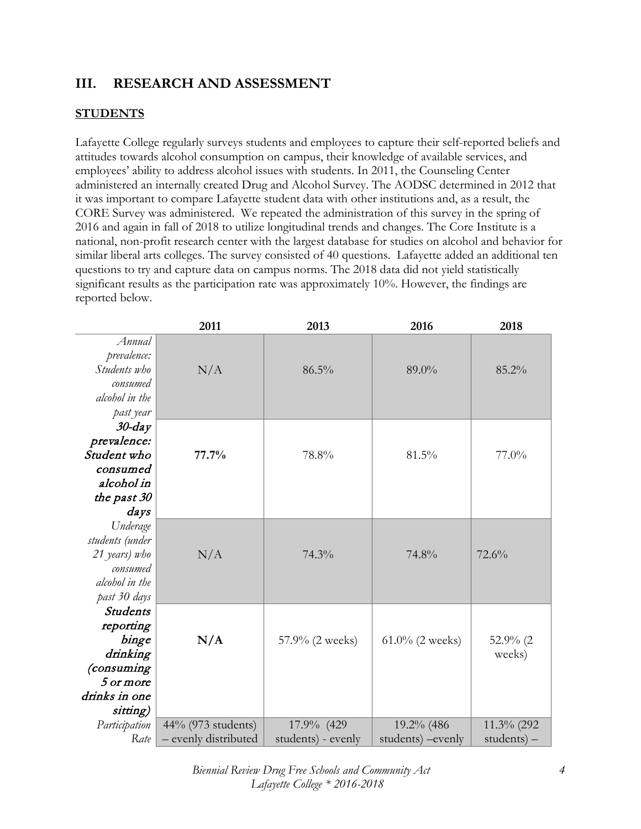## **III. RESEARCH AND ASSESSMENT**

## **STUDENTS**

Lafayette College regularly surveys students and employees to capture their self-reported beliefs and attitudes towards alcohol consumption on campus, their knowledge of available services, and employees' ability to address alcohol issues with students. In 2011, the Counseling Center administered an internally created Drug and Alcohol Survey. The AODSC determined in 2012 that it was important to compare Lafayette student data with other institutions and, as a result, the CORE Survey was administered. We repeated the administration of this survey in the spring of 2016 and again in fall of 2018 to utilize longitudinal trends and changes. The Core Institute is a national, non-profit research center with the largest database for studies on alcohol and behavior for similar liberal arts colleges. The survey consisted of 40 questions. Lafayette added an additional ten questions to try and capture data on campus norms. The 2018 data did not yield statistically significant results as the participation rate was approximately 10%. However, the findings are reported below.

|                                                                                                           | 2011                 | 2013               | 2016               | 2018                  |
|-----------------------------------------------------------------------------------------------------------|----------------------|--------------------|--------------------|-----------------------|
| Annual<br>prevalence:<br>Students who<br>consumed<br>alcohol in the<br>past year                          | N/A                  | 86.5%              | 89.0%              | 85.2%                 |
| $30$ -day<br>prevalence:<br>Student who<br>consumed<br>alcohol in<br>the past 30<br>days                  | 77.7%                | 78.8%              | 81.5%              | $77.0\%$              |
| Underage<br>students (under<br>21 years) who<br>consumed<br>alcohol in the<br>past 30 days                | N/A                  | 74.3%              | 74.8%              | 72.6%                 |
| <b>Students</b><br>reporting<br>binge<br>drinking<br>(consuming<br>5 or more<br>drinks in one<br>sitting) | N/A                  | 57.9% (2 weeks)    | $61.0\%$ (2 weeks) | 52.9% $(2)$<br>weeks) |
| Participation                                                                                             | 44% (973 students)   | 17.9% (429         | 19.2% (486         | 11.3% (292            |
| Rate                                                                                                      | - evenly distributed | students) - evenly | students) - evenly | students) $-$         |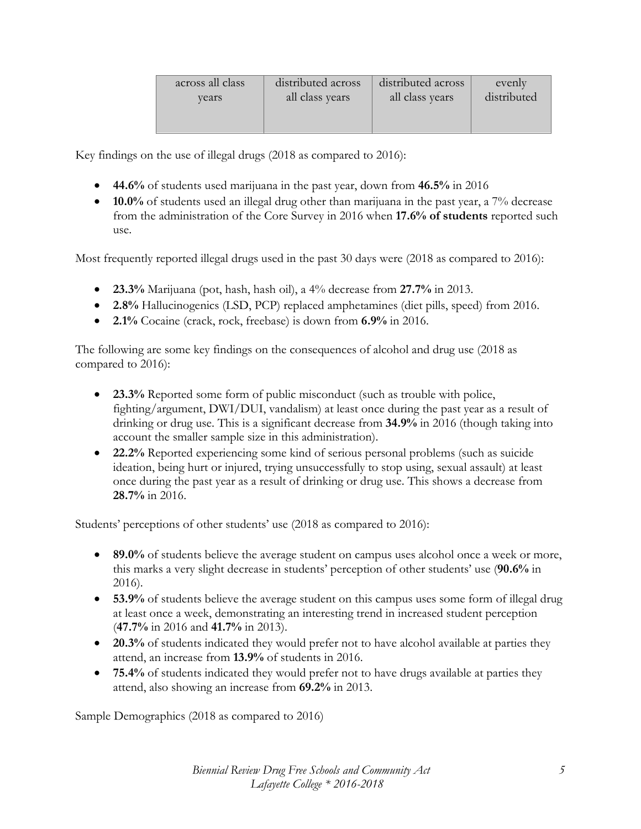| distributed across | distributed across | evenly<br>distributed |
|--------------------|--------------------|-----------------------|
|                    |                    |                       |
|                    | all class years    | all class years       |

Key findings on the use of illegal drugs (2018 as compared to 2016):

- **44.6%** of students used marijuana in the past year, down from **46.5%** in 2016
- **10.0%** of students used an illegal drug other than marijuana in the past year, a 7% decrease from the administration of the Core Survey in 2016 when **17.6% of students** reported such use.

Most frequently reported illegal drugs used in the past 30 days were (2018 as compared to 2016):

- **23.3%** Marijuana (pot, hash, hash oil), a 4% decrease from **27.7%** in 2013.
- **2.8%** Hallucinogenics (LSD, PCP) replaced amphetamines (diet pills, speed) from 2016.
- **2.1%** Cocaine (crack, rock, freebase) is down from **6.9%** in 2016.

The following are some key findings on the consequences of alcohol and drug use (2018 as compared to 2016):

- **23.3%** Reported some form of public misconduct (such as trouble with police, fighting/argument, DWI/DUI, vandalism) at least once during the past year as a result of drinking or drug use. This is a significant decrease from **34.9%** in 2016 (though taking into account the smaller sample size in this administration).
- **22.2%** Reported experiencing some kind of serious personal problems (such as suicide ideation, being hurt or injured, trying unsuccessfully to stop using, sexual assault) at least once during the past year as a result of drinking or drug use. This shows a decrease from **28.7%** in 2016.

Students' perceptions of other students' use (2018 as compared to 2016):

- **89.0%** of students believe the average student on campus uses alcohol once a week or more, this marks a very slight decrease in students' perception of other students' use (**90.6%** in 2016).
- **53.9%** of students believe the average student on this campus uses some form of illegal drug at least once a week, demonstrating an interesting trend in increased student perception (**47.7%** in 2016 and **41.7%** in 2013).
- **20.3%** of students indicated they would prefer not to have alcohol available at parties they attend, an increase from **13.9%** of students in 2016.
- **75.4%** of students indicated they would prefer not to have drugs available at parties they attend, also showing an increase from **69.2%** in 2013.

Sample Demographics (2018 as compared to 2016)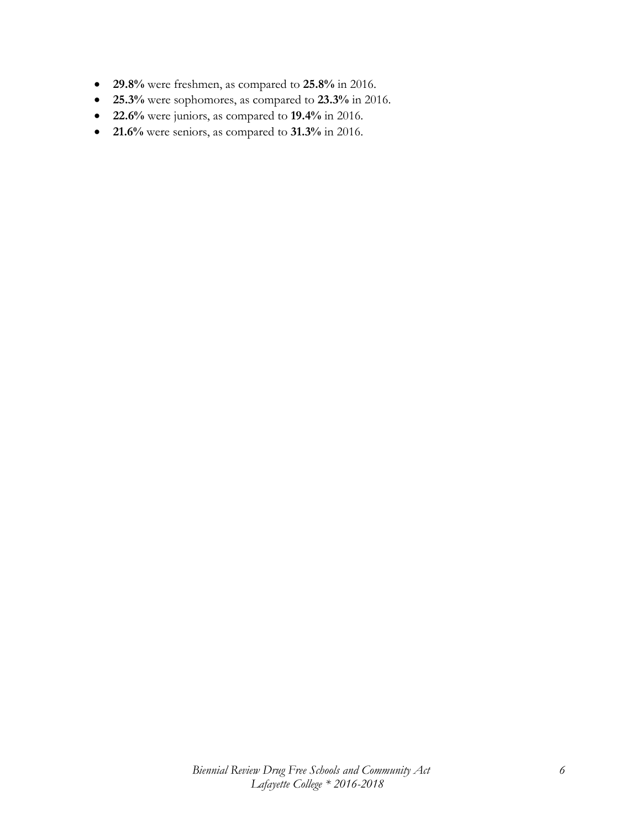- **29.8%** were freshmen, as compared to **25.8%** in 2016.
- **25.3%** were sophomores, as compared to **23.3%** in 2016.
- **22.6%** were juniors, as compared to **19.4%** in 2016.
- **21.6%** were seniors, as compared to **31.3%** in 2016.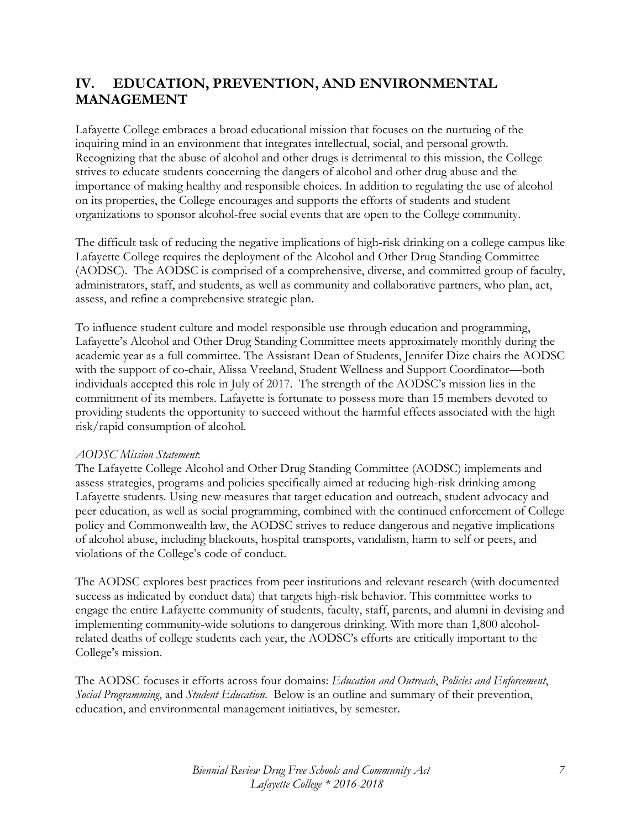# **IV. EDUCATION, PREVENTION, AND ENVIRONMENTAL MANAGEMENT**

Lafayette College embraces a broad educational mission that focuses on the nurturing of the inquiring mind in an environment that integrates intellectual, social, and personal growth. Recognizing that the abuse of alcohol and other drugs is detrimental to this mission, the College strives to educate students concerning the dangers of alcohol and other drug abuse and the importance of making healthy and responsible choices. In addition to regulating the use of alcohol on its properties, the College encourages and supports the efforts of students and student organizations to sponsor alcohol-free social events that are open to the College community.

The difficult task of reducing the negative implications of high-risk drinking on a college campus like Lafayette College requires the deployment of the Alcohol and Other Drug Standing Committee (AODSC). The AODSC is comprised of a comprehensive, diverse, and committed group of faculty, administrators, staff, and students, as well as community and collaborative partners, who plan, act, assess, and refine a comprehensive strategic plan.

To influence student culture and model responsible use through education and programming, Lafayette's Alcohol and Other Drug Standing Committee meets approximately monthly during the academic year as a full committee. The Assistant Dean of Students, Jennifer Dize chairs the AODSC with the support of co-chair, Alissa Vreeland, Student Wellness and Support Coordinator—both individuals accepted this role in July of 2017. The strength of the AODSC's mission lies in the commitment of its members. Lafayette is fortunate to possess more than 15 members devoted to providing students the opportunity to succeed without the harmful effects associated with the high risk/rapid consumption of alcohol.

#### *AODSC Mission Statement*:

The Lafayette College Alcohol and Other Drug Standing Committee (AODSC) implements and assess strategies, programs and policies specifically aimed at reducing high-risk drinking among Lafayette students. Using new measures that target education and outreach, student advocacy and peer education, as well as social programming, combined with the continued enforcement of College policy and Commonwealth law, the AODSC strives to reduce dangerous and negative implications of alcohol abuse, including blackouts, hospital transports, vandalism, harm to self or peers, and violations of the College's code of conduct.

The AODSC explores best practices from peer institutions and relevant research (with documented success as indicated by conduct data) that targets high-risk behavior. This committee works to engage the entire Lafayette community of students, faculty, staff, parents, and alumni in devising and implementing community-wide solutions to dangerous drinking. With more than 1,800 alcoholrelated deaths of college students each year, the AODSC's efforts are critically important to the College's mission.

The AODSC focuses it efforts across four domains: *Education and Outreach*, *Policies and Enforcement*, *Social Programming*, and *Student Education*. Below is an outline and summary of their prevention, education, and environmental management initiatives, by semester.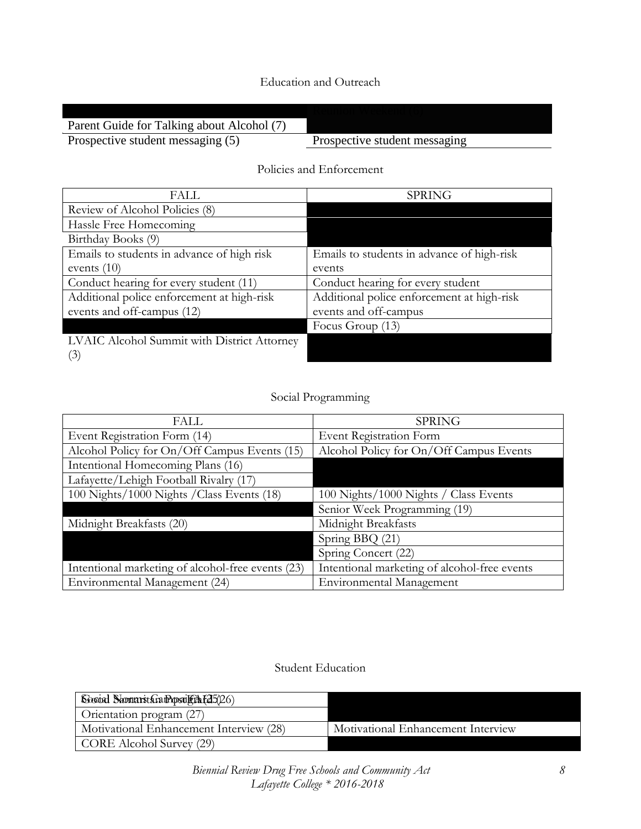## Education and Outreach

| Parent Guide for Talking about Alcohol (7) |                               |
|--------------------------------------------|-------------------------------|
| Prospective student messaging (5)          | Prospective student messaging |
|                                            |                               |

## Policies and Enforcement

| FALL                                        | <b>SPRING</b>                              |
|---------------------------------------------|--------------------------------------------|
| Review of Alcohol Policies (8)              |                                            |
| Hassle Free Homecoming                      |                                            |
| Birthday Books (9)                          |                                            |
| Emails to students in advance of high risk  | Emails to students in advance of high-risk |
| events $(10)$                               | events                                     |
| Conduct hearing for every student (11)      | Conduct hearing for every student          |
| Additional police enforcement at high-risk  | Additional police enforcement at high-risk |
| events and off-campus (12)                  | events and off-campus                      |
|                                             | Focus Group (13)                           |
| LVAIC Alcohol Summit with District Attorney |                                            |
| [3]                                         |                                            |

## Social Programming

| FALL                                              | <b>SPRING</b>                                |
|---------------------------------------------------|----------------------------------------------|
| Event Registration Form (14)                      | Event Registration Form                      |
| Alcohol Policy for On/Off Campus Events (15)      | Alcohol Policy for On/Off Campus Events      |
| Intentional Homecoming Plans (16)                 |                                              |
| Lafayette/Lehigh Football Rivalry (17)            |                                              |
| 100 Nights/1000 Nights / Class Events (18)        | 100 Nights/1000 Nights / Class Events        |
|                                                   | Senior Week Programming (19)                 |
| Midnight Breakfasts (20)                          | Midnight Breakfasts                          |
|                                                   | Spring BBQ (21)                              |
|                                                   | Spring Concert (22)                          |
| Intentional marketing of alcohol-free events (23) | Intentional marketing of alcohol-free events |
| Environmental Management (24)                     | <b>Environmental Management</b>              |

#### Student Education

| Second Shomarst Gramposule in [25(26)   |                                    |
|-----------------------------------------|------------------------------------|
| Orientation program (27)                |                                    |
| Motivational Enhancement Interview (28) | Motivational Enhancement Interview |
| CORE Alcohol Survey (29)                |                                    |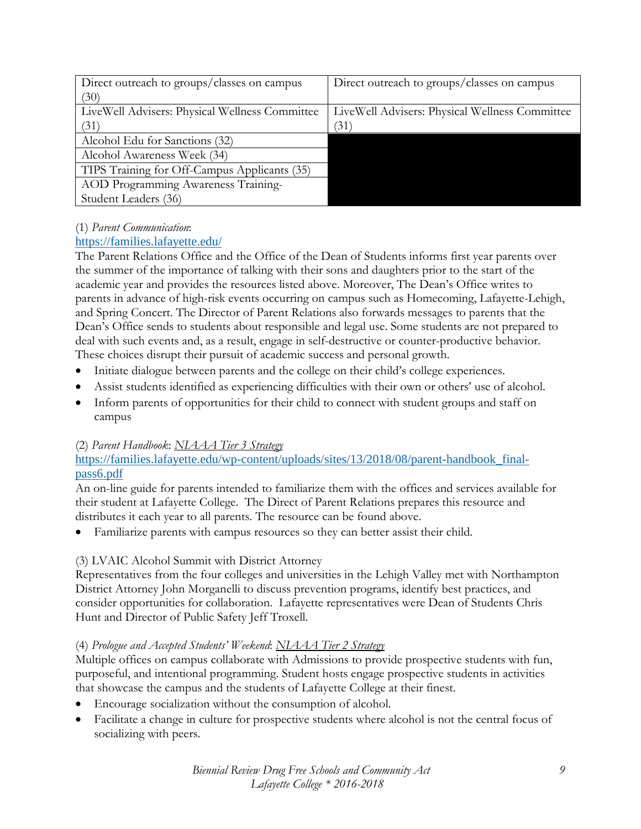| Direct outreach to groups/classes on campus    | Direct outreach to groups/classes on campus    |
|------------------------------------------------|------------------------------------------------|
| (30)                                           |                                                |
| LiveWell Advisers: Physical Wellness Committee | LiveWell Advisers: Physical Wellness Committee |
| (31)                                           | (31)                                           |
| Alcohol Edu for Sanctions (32)                 |                                                |
| Alcohol Awareness Week (34)                    |                                                |
| TIPS Training for Off-Campus Applicants (35)   |                                                |
| AOD Programming Awareness Training-            |                                                |
| Student Leaders (36)                           |                                                |

#### (1) *Parent Communication*:

## <https://families.lafayette.edu/>

The Parent Relations Office and the Office of the Dean of Students informs first year parents over the summer of the importance of talking with their sons and daughters prior to the start of the academic year and provides the resources listed above. Moreover, The Dean's Office writes to parents in advance of high-risk events occurring on campus such as Homecoming, Lafayette-Lehigh, and Spring Concert. The Director of Parent Relations also forwards messages to parents that the Dean's Office sends to students about responsible and legal use. Some students are not prepared to deal with such events and, as a result, engage in self-destructive or counter-productive behavior. These choices disrupt their pursuit of academic success and personal growth.

- Initiate dialogue between parents and the college on their child's college experiences.
- Assist students identified as experiencing difficulties with their own or others' use of alcohol.
- Inform parents of opportunities for their child to connect with student groups and staff on campus

#### (2) *Parent Handbook*: *NIAAA Tier 3 Strategy*

## [https://families.lafayette.edu/wp-content/uploads/sites/13/2018/08/parent-handbook\\_final](https://families.lafayette.edu/wp-content/uploads/sites/13/2018/08/parent-handbook_final-pass6.pdf)[pass6.pdf](https://families.lafayette.edu/wp-content/uploads/sites/13/2018/08/parent-handbook_final-pass6.pdf)

An on-line guide for parents intended to familiarize them with the offices and services available for their student at Lafayette College. The Direct of Parent Relations prepares this resource and distributes it each year to all parents. The resource can be found above.

Familiarize parents with campus resources so they can better assist their child.

## (3) LVAIC Alcohol Summit with District Attorney

Representatives from the four colleges and universities in the Lehigh Valley met with Northampton District Attorney John Morganelli to discuss prevention programs, identify best practices, and consider opportunities for collaboration. Lafayette representatives were Dean of Students Chris Hunt and Director of Public Safety Jeff Troxell.

#### (4) *Prologue and Accepted Students' Weekend*: *NIAAA Tier 2 Strategy*

Multiple offices on campus collaborate with Admissions to provide prospective students with fun, purposeful, and intentional programming. Student hosts engage prospective students in activities that showcase the campus and the students of Lafayette College at their finest.

- Encourage socialization without the consumption of alcohol.
- Facilitate a change in culture for prospective students where alcohol is not the central focus of socializing with peers.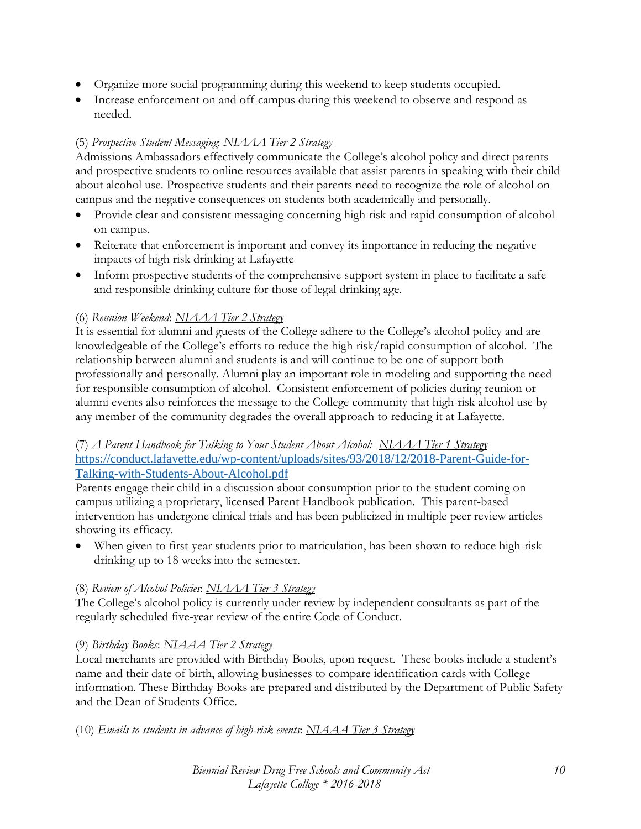- Organize more social programming during this weekend to keep students occupied.
- Increase enforcement on and off-campus during this weekend to observe and respond as needed.

#### (5) *Prospective Student Messaging*: *NIAAA Tier 2 Strategy*

Admissions Ambassadors effectively communicate the College's alcohol policy and direct parents and prospective students to online resources available that assist parents in speaking with their child about alcohol use. Prospective students and their parents need to recognize the role of alcohol on campus and the negative consequences on students both academically and personally.

- Provide clear and consistent messaging concerning high risk and rapid consumption of alcohol on campus.
- Reiterate that enforcement is important and convey its importance in reducing the negative impacts of high risk drinking at Lafayette
- Inform prospective students of the comprehensive support system in place to facilitate a safe and responsible drinking culture for those of legal drinking age.

## (6) *Reunion Weekend*: *NIAAA Tier 2 Strategy*

It is essential for alumni and guests of the College adhere to the College's alcohol policy and are knowledgeable of the College's efforts to reduce the high risk/rapid consumption of alcohol. The relationship between alumni and students is and will continue to be one of support both professionally and personally. Alumni play an important role in modeling and supporting the need for responsible consumption of alcohol. Consistent enforcement of policies during reunion or alumni events also reinforces the message to the College community that high-risk alcohol use by any member of the community degrades the overall approach to reducing it at Lafayette.

#### (7) *A Parent Handbook for Talking to Your Student About Alcohol: NIAAA Tier 1 Strategy* [https://conduct.lafayette.edu/wp-content/uploads/sites/93/2018/12/2018-Parent-Guide-for-](https://conduct.lafayette.edu/wp-content/uploads/sites/93/2018/12/2018-Parent-Guide-for-Talking-with-Students-About-Alcohol.pdf)[Talking-with-Students-About-Alcohol.pdf](https://conduct.lafayette.edu/wp-content/uploads/sites/93/2018/12/2018-Parent-Guide-for-Talking-with-Students-About-Alcohol.pdf)

Parents engage their child in a discussion about consumption prior to the student coming on campus utilizing a proprietary, licensed Parent Handbook publication. This parent-based intervention has undergone clinical trials and has been publicized in multiple peer review articles showing its efficacy.

• When given to first-year students prior to matriculation, has been shown to reduce high-risk drinking up to 18 weeks into the semester.

#### (8) *Review of Alcohol Policies*: *NIAAA Tier 3 Strategy*

The College's alcohol policy is currently under review by independent consultants as part of the regularly scheduled five-year review of the entire Code of Conduct.

#### (9) *Birthday Books*: *NIAAA Tier 2 Strategy*

Local merchants are provided with Birthday Books, upon request. These books include a student's name and their date of birth, allowing businesses to compare identification cards with College information. These Birthday Books are prepared and distributed by the Department of Public Safety and the Dean of Students Office.

(10) *Emails to students in advance of high-risk events*: *NIAAA Tier 3 Strategy*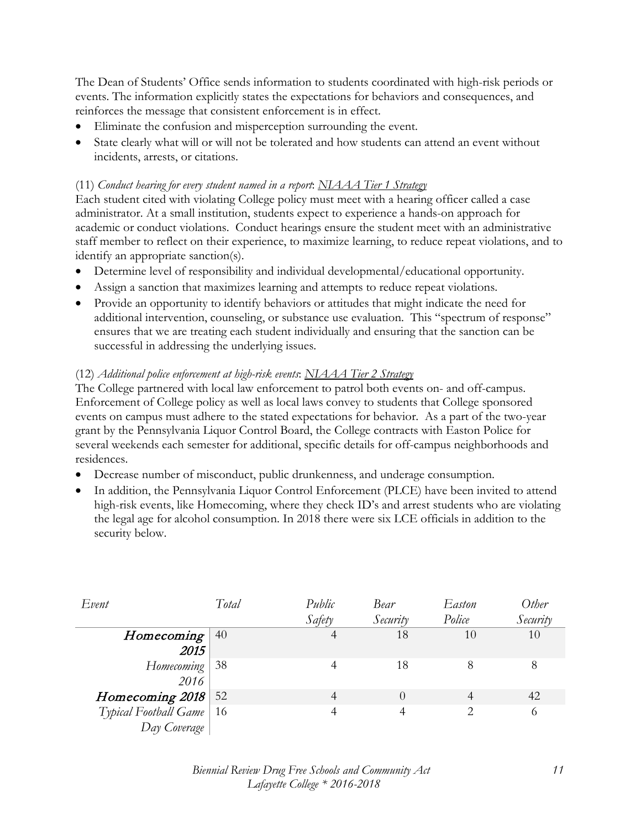The Dean of Students' Office sends information to students coordinated with high-risk periods or events. The information explicitly states the expectations for behaviors and consequences, and reinforces the message that consistent enforcement is in effect.

- Eliminate the confusion and misperception surrounding the event.
- State clearly what will or will not be tolerated and how students can attend an event without incidents, arrests, or citations.

## (11) *Conduct hearing for every student named in a report*: *NIAAA Tier 1 Strategy*

Each student cited with violating College policy must meet with a hearing officer called a case administrator. At a small institution, students expect to experience a hands-on approach for academic or conduct violations. Conduct hearings ensure the student meet with an administrative staff member to reflect on their experience, to maximize learning, to reduce repeat violations, and to identify an appropriate sanction(s).

- Determine level of responsibility and individual developmental/educational opportunity.
- Assign a sanction that maximizes learning and attempts to reduce repeat violations.
- Provide an opportunity to identify behaviors or attitudes that might indicate the need for additional intervention, counseling, or substance use evaluation. This "spectrum of response" ensures that we are treating each student individually and ensuring that the sanction can be successful in addressing the underlying issues.

## (12) *Additional police enforcement at high-risk events*: *NIAAA Tier 2 Strategy*

The College partnered with local law enforcement to patrol both events on- and off-campus. Enforcement of College policy as well as local laws convey to students that College sponsored events on campus must adhere to the stated expectations for behavior. As a part of the two-year grant by the Pennsylvania Liquor Control Board, the College contracts with Easton Police for several weekends each semester for additional, specific details for off-campus neighborhoods and residences.

- Decrease number of misconduct, public drunkenness, and underage consumption.
- In addition, the Pennsylvania Liquor Control Enforcement (PLCE) have been invited to attend high-risk events, like Homecoming, where they check ID's and arrest students who are violating the legal age for alcohol consumption. In 2018 there were six LCE officials in addition to the security below.

| Event                      | Total | Public | Bear     | Easton | Other    |
|----------------------------|-------|--------|----------|--------|----------|
|                            |       | Safety | Security | Police | Security |
| Homecoming                 | 40    |        | 18       | 10     | 10       |
| 2015                       |       |        |          |        |          |
| Homecoming                 | -38   |        | 18       | 8      | 8        |
| 2016                       |       |        |          |        |          |
| Homecoming 2018            | 52    |        |          |        | 42       |
| Typical Football Game   16 |       |        |          |        | 6        |
| Day Coverage               |       |        |          |        |          |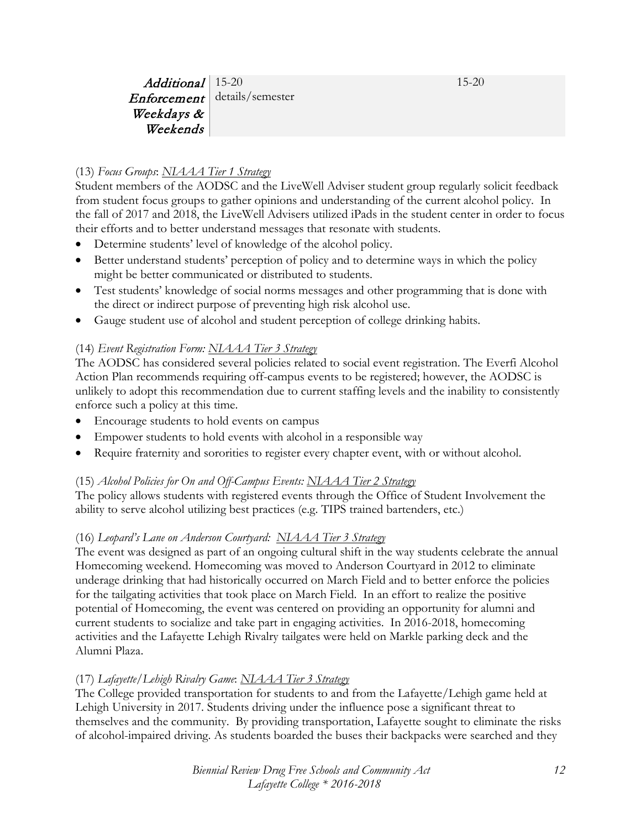15-20

Additional 15-20 Enforcement details/semester Weekdays & Weekends

## (13) *Focus Groups*: *NIAAA Tier 1 Strategy*

Student members of the AODSC and the LiveWell Adviser student group regularly solicit feedback from student focus groups to gather opinions and understanding of the current alcohol policy. In the fall of 2017 and 2018, the LiveWell Advisers utilized iPads in the student center in order to focus their efforts and to better understand messages that resonate with students.

- Determine students' level of knowledge of the alcohol policy.
- Better understand students' perception of policy and to determine ways in which the policy might be better communicated or distributed to students.
- Test students' knowledge of social norms messages and other programming that is done with the direct or indirect purpose of preventing high risk alcohol use.
- Gauge student use of alcohol and student perception of college drinking habits.

## (14) *Event Registration Form: NIAAA Tier 3 Strategy*

The AODSC has considered several policies related to social event registration. The Everfi Alcohol Action Plan recommends requiring off-campus events to be registered; however, the AODSC is unlikely to adopt this recommendation due to current staffing levels and the inability to consistently enforce such a policy at this time.

- Encourage students to hold events on campus
- Empower students to hold events with alcohol in a responsible way
- Require fraternity and sororities to register every chapter event, with or without alcohol.

## (15) *Alcohol Policies for On and Off-Campus Events: NIAAA Tier 2 Strategy*

The policy allows students with registered events through the Office of Student Involvement the ability to serve alcohol utilizing best practices (e.g. TIPS trained bartenders, etc.)

## (16) *Leopard's Lane on Anderson Courtyard: NIAAA Tier 3 Strategy*

The event was designed as part of an ongoing cultural shift in the way students celebrate the annual Homecoming weekend. Homecoming was moved to Anderson Courtyard in 2012 to eliminate underage drinking that had historically occurred on March Field and to better enforce the policies for the tailgating activities that took place on March Field. In an effort to realize the positive potential of Homecoming, the event was centered on providing an opportunity for alumni and current students to socialize and take part in engaging activities. In 2016-2018, homecoming activities and the Lafayette Lehigh Rivalry tailgates were held on Markle parking deck and the Alumni Plaza.

## (17) *Lafayette/Lehigh Rivalry Game*: *NIAAA Tier 3 Strategy*

The College provided transportation for students to and from the Lafayette/Lehigh game held at Lehigh University in 2017. Students driving under the influence pose a significant threat to themselves and the community. By providing transportation, Lafayette sought to eliminate the risks of alcohol-impaired driving. As students boarded the buses their backpacks were searched and they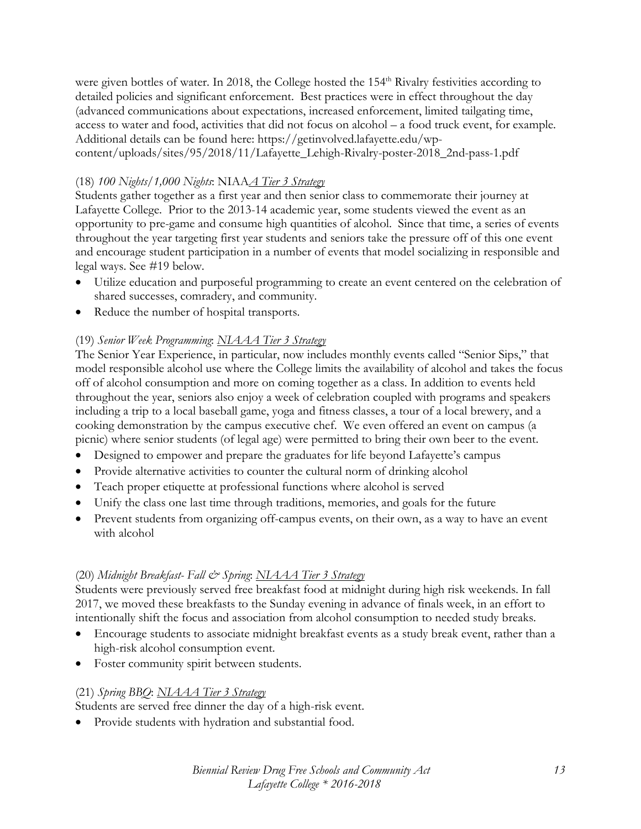were given bottles of water. In 2018, the College hosted the 154<sup>th</sup> Rivalry festivities according to detailed policies and significant enforcement. Best practices were in effect throughout the day (advanced communications about expectations, increased enforcement, limited tailgating time, access to water and food, activities that did not focus on alcohol – a food truck event, for example. Additional details can be found here: https://getinvolved.lafayette.edu/wpcontent/uploads/sites/95/2018/11/Lafayette\_Lehigh-Rivalry-poster-2018\_2nd-pass-1.pdf

#### (18) *100 Nights/1,000 Nights*: NIAA*A Tier 3 Strategy*

Students gather together as a first year and then senior class to commemorate their journey at Lafayette College. Prior to the 2013-14 academic year, some students viewed the event as an opportunity to pre-game and consume high quantities of alcohol. Since that time, a series of events throughout the year targeting first year students and seniors take the pressure off of this one event and encourage student participation in a number of events that model socializing in responsible and legal ways. See #19 below.

- Utilize education and purposeful programming to create an event centered on the celebration of shared successes, comradery, and community.
- Reduce the number of hospital transports.

#### (19) *Senior Week Programming*: *NIAAA Tier 3 Strategy*

The Senior Year Experience, in particular, now includes monthly events called "Senior Sips," that model responsible alcohol use where the College limits the availability of alcohol and takes the focus off of alcohol consumption and more on coming together as a class. In addition to events held throughout the year, seniors also enjoy a week of celebration coupled with programs and speakers including a trip to a local baseball game, yoga and fitness classes, a tour of a local brewery, and a cooking demonstration by the campus executive chef. We even offered an event on campus (a picnic) where senior students (of legal age) were permitted to bring their own beer to the event.

- Designed to empower and prepare the graduates for life beyond Lafayette's campus
- Provide alternative activities to counter the cultural norm of drinking alcohol
- Teach proper etiquette at professional functions where alcohol is served
- Unify the class one last time through traditions, memories, and goals for the future
- Prevent students from organizing off-campus events, on their own, as a way to have an event with alcohol

#### (20) *Midnight Breakfast- Fall & Spring*: *NIAAA Tier 3 Strategy*

Students were previously served free breakfast food at midnight during high risk weekends. In fall 2017, we moved these breakfasts to the Sunday evening in advance of finals week, in an effort to intentionally shift the focus and association from alcohol consumption to needed study breaks.

- Encourage students to associate midnight breakfast events as a study break event, rather than a high-risk alcohol consumption event.
- Foster community spirit between students.

#### (21) *Spring BBQ*: *NIAAA Tier 3 Strategy*

Students are served free dinner the day of a high-risk event.

• Provide students with hydration and substantial food.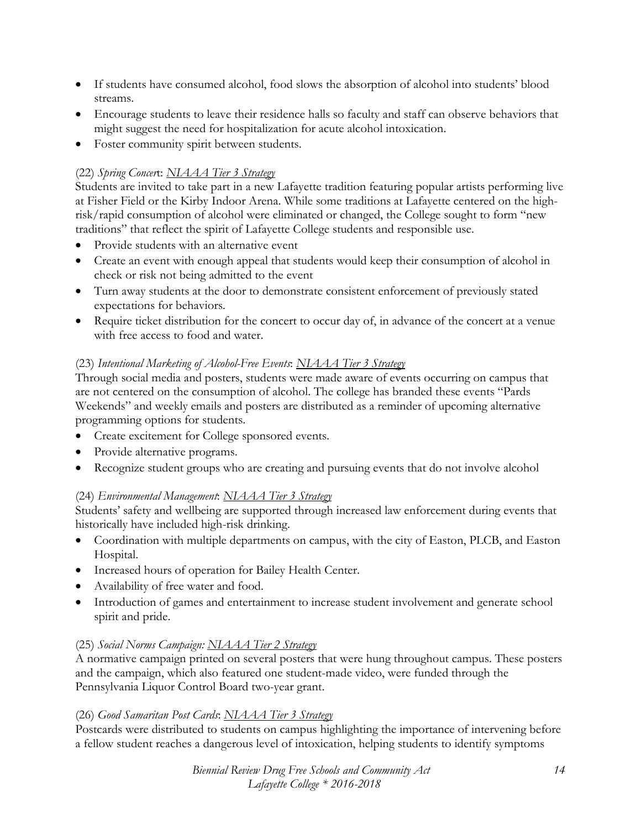- If students have consumed alcohol, food slows the absorption of alcohol into students' blood streams.
- Encourage students to leave their residence halls so faculty and staff can observe behaviors that might suggest the need for hospitalization for acute alcohol intoxication.
- Foster community spirit between students.

#### (22) *Spring Concer*t: *NIAAA Tier 3 Strategy*

Students are invited to take part in a new Lafayette tradition featuring popular artists performing live at Fisher Field or the Kirby Indoor Arena. While some traditions at Lafayette centered on the highrisk/rapid consumption of alcohol were eliminated or changed, the College sought to form "new traditions" that reflect the spirit of Lafayette College students and responsible use.

- Provide students with an alternative event
- Create an event with enough appeal that students would keep their consumption of alcohol in check or risk not being admitted to the event
- Turn away students at the door to demonstrate consistent enforcement of previously stated expectations for behaviors.
- Require ticket distribution for the concert to occur day of, in advance of the concert at a venue with free access to food and water.

## (23) *Intentional Marketing of Alcohol-Free Events*: *NIAAA Tier 3 Strategy*

Through social media and posters, students were made aware of events occurring on campus that are not centered on the consumption of alcohol. The college has branded these events "Pards Weekends" and weekly emails and posters are distributed as a reminder of upcoming alternative programming options for students.

- Create excitement for College sponsored events.
- Provide alternative programs.
- Recognize student groups who are creating and pursuing events that do not involve alcohol

#### (24) *Environmental Management*: *NIAAA Tier 3 Strategy*

Students' safety and wellbeing are supported through increased law enforcement during events that historically have included high-risk drinking.

- Coordination with multiple departments on campus, with the city of Easton, PLCB, and Easton Hospital.
- Increased hours of operation for Bailey Health Center.
- Availability of free water and food.
- Introduction of games and entertainment to increase student involvement and generate school spirit and pride.

#### (25) *Social Norms Campaign: NIAAA Tier 2 Strategy*

A normative campaign printed on several posters that were hung throughout campus. These posters and the campaign, which also featured one student-made video, were funded through the Pennsylvania Liquor Control Board two-year grant.

#### (26) *Good Samaritan Post Cards*: *NIAAA Tier 3 Strategy*

Postcards were distributed to students on campus highlighting the importance of intervening before a fellow student reaches a dangerous level of intoxication, helping students to identify symptoms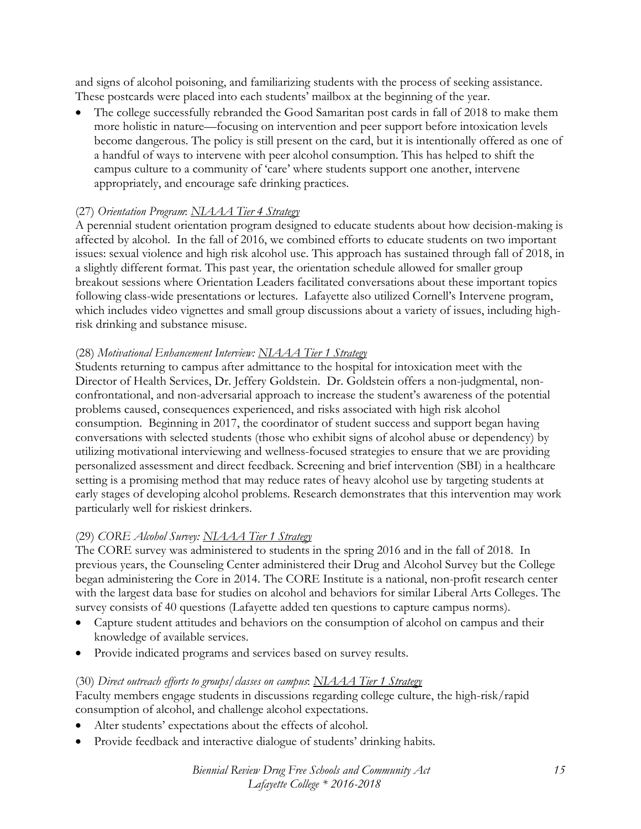and signs of alcohol poisoning, and familiarizing students with the process of seeking assistance. These postcards were placed into each students' mailbox at the beginning of the year.

The college successfully rebranded the Good Samaritan post cards in fall of 2018 to make them more holistic in nature—focusing on intervention and peer support before intoxication levels become dangerous. The policy is still present on the card, but it is intentionally offered as one of a handful of ways to intervene with peer alcohol consumption. This has helped to shift the campus culture to a community of 'care' where students support one another, intervene appropriately, and encourage safe drinking practices.

#### (27) *Orientation Program*: *NIAAA Tier 4 Strategy*

A perennial student orientation program designed to educate students about how decision-making is affected by alcohol. In the fall of 2016, we combined efforts to educate students on two important issues: sexual violence and high risk alcohol use. This approach has sustained through fall of 2018, in a slightly different format. This past year, the orientation schedule allowed for smaller group breakout sessions where Orientation Leaders facilitated conversations about these important topics following class-wide presentations or lectures. Lafayette also utilized Cornell's Intervene program, which includes video vignettes and small group discussions about a variety of issues, including highrisk drinking and substance misuse.

#### (28) *Motivational Enhancement Interview: NIAAA Tier 1 Strategy*

Students returning to campus after admittance to the hospital for intoxication meet with the Director of Health Services, Dr. Jeffery Goldstein. Dr. Goldstein offers a non-judgmental, nonconfrontational, and non-adversarial approach to increase the student's awareness of the potential problems caused, consequences experienced, and risks associated with high risk alcohol consumption. Beginning in 2017, the coordinator of student success and support began having conversations with selected students (those who exhibit signs of alcohol abuse or dependency) by utilizing motivational interviewing and wellness-focused strategies to ensure that we are providing personalized assessment and direct feedback. Screening and brief intervention (SBI) in a healthcare setting is a promising method that may reduce rates of heavy alcohol use by targeting students at early stages of developing alcohol problems. Research demonstrates that this intervention may work particularly well for riskiest drinkers.

#### (29) *CORE Alcohol Survey: NIAAA Tier 1 Strategy*

The CORE survey was administered to students in the spring 2016 and in the fall of 2018. In previous years, the Counseling Center administered their Drug and Alcohol Survey but the College began administering the Core in 2014. The CORE Institute is a national, non-profit research center with the largest data base for studies on alcohol and behaviors for similar Liberal Arts Colleges. The survey consists of 40 questions (Lafayette added ten questions to capture campus norms).

- Capture student attitudes and behaviors on the consumption of alcohol on campus and their knowledge of available services.
- Provide indicated programs and services based on survey results.

#### (30) *Direct outreach efforts to groups/classes on campus*: *NIAAA Tier 1 Strategy*

Faculty members engage students in discussions regarding college culture, the high-risk/rapid consumption of alcohol, and challenge alcohol expectations.

- Alter students' expectations about the effects of alcohol.
- Provide feedback and interactive dialogue of students' drinking habits.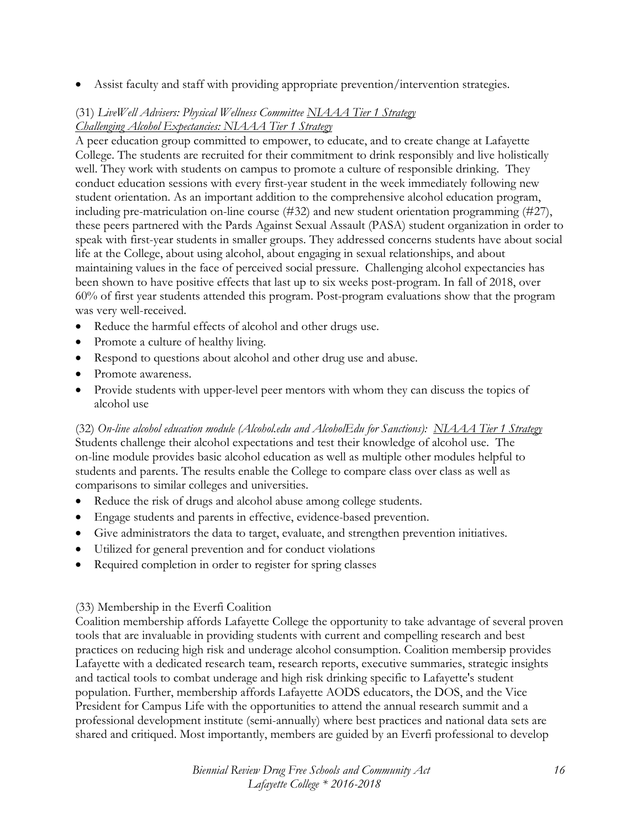• Assist faculty and staff with providing appropriate prevention/intervention strategies.

## (31) *LiveWell Advisers: Physical Wellness Committee NIAAA Tier 1 Strategy Challenging Alcohol Expectancies: NIAAA Tier 1 Strategy*

A peer education group committed to empower, to educate, and to create change at Lafayette College. The students are recruited for their commitment to drink responsibly and live holistically well. They work with students on campus to promote a culture of responsible drinking. They conduct education sessions with every first-year student in the week immediately following new student orientation. As an important addition to the comprehensive alcohol education program, including pre-matriculation on-line course (#32) and new student orientation programming (#27), these peers partnered with the Pards Against Sexual Assault (PASA) student organization in order to speak with first-year students in smaller groups. They addressed concerns students have about social life at the College, about using alcohol, about engaging in sexual relationships, and about maintaining values in the face of perceived social pressure. Challenging alcohol expectancies has been shown to have positive effects that last up to six weeks post-program. In fall of 2018, over 60% of first year students attended this program. Post-program evaluations show that the program was very well-received.

- Reduce the harmful effects of alcohol and other drugs use.
- Promote a culture of healthy living.
- Respond to questions about alcohol and other drug use and abuse.
- Promote awareness.
- Provide students with upper-level peer mentors with whom they can discuss the topics of alcohol use

(32) *On-line alcohol education module (Alcohol.edu and AlcoholEdu for Sanctions): NIAAA Tier 1 Strategy* Students challenge their alcohol expectations and test their knowledge of alcohol use. The on-line module provides basic alcohol education as well as multiple other modules helpful to students and parents. The results enable the College to compare class over class as well as comparisons to similar colleges and universities.

- Reduce the risk of drugs and alcohol abuse among college students.
- Engage students and parents in effective, evidence-based prevention.
- Give administrators the data to target, evaluate, and strengthen prevention initiatives.
- Utilized for general prevention and for conduct violations
- Required completion in order to register for spring classes

#### (33) Membership in the Everfi Coalition

Coalition membership affords Lafayette College the opportunity to take advantage of several proven tools that are invaluable in providing students with current and compelling research and best practices on reducing high risk and underage alcohol consumption. Coalition membersip provides Lafayette with a dedicated research team, research reports, executive summaries, strategic insights and tactical tools to combat underage and high risk drinking specific to Lafayette's student population. Further, membership affords Lafayette AODS educators, the DOS, and the Vice President for Campus Life with the opportunities to attend the annual research summit and a professional development institute (semi-annually) where best practices and national data sets are shared and critiqued. Most importantly, members are guided by an Everfi professional to develop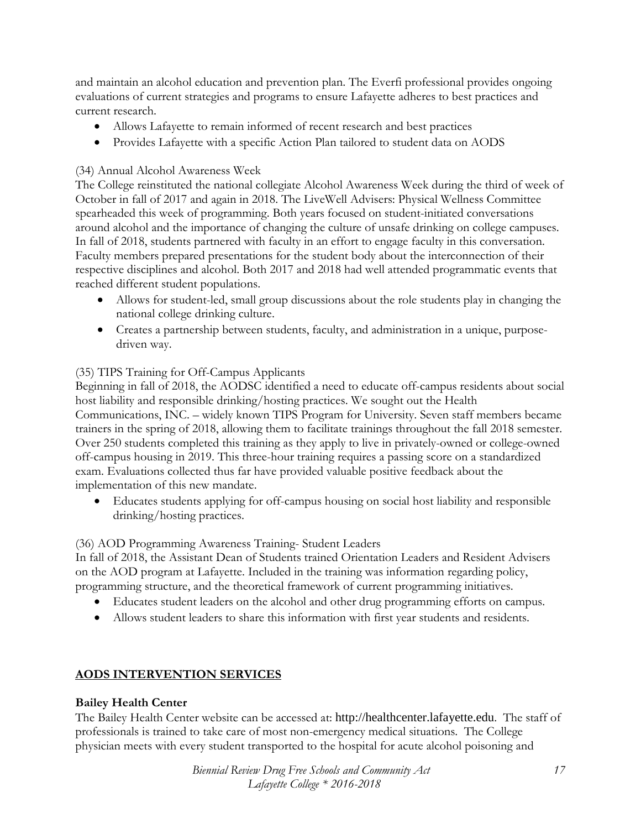and maintain an alcohol education and prevention plan. The Everfi professional provides ongoing evaluations of current strategies and programs to ensure Lafayette adheres to best practices and current research.

- Allows Lafayette to remain informed of recent research and best practices
- Provides Lafayette with a specific Action Plan tailored to student data on AODS

#### (34) Annual Alcohol Awareness Week

The College reinstituted the national collegiate Alcohol Awareness Week during the third of week of October in fall of 2017 and again in 2018. The LiveWell Advisers: Physical Wellness Committee spearheaded this week of programming. Both years focused on student-initiated conversations around alcohol and the importance of changing the culture of unsafe drinking on college campuses. In fall of 2018, students partnered with faculty in an effort to engage faculty in this conversation. Faculty members prepared presentations for the student body about the interconnection of their respective disciplines and alcohol. Both 2017 and 2018 had well attended programmatic events that reached different student populations.

- Allows for student-led, small group discussions about the role students play in changing the national college drinking culture.
- Creates a partnership between students, faculty, and administration in a unique, purposedriven way.

## (35) TIPS Training for Off-Campus Applicants

Beginning in fall of 2018, the AODSC identified a need to educate off-campus residents about social host liability and responsible drinking/hosting practices. We sought out the Health Communications, INC. – widely known TIPS Program for University. Seven staff members became trainers in the spring of 2018, allowing them to facilitate trainings throughout the fall 2018 semester. Over 250 students completed this training as they apply to live in privately-owned or college-owned off-campus housing in 2019. This three-hour training requires a passing score on a standardized exam. Evaluations collected thus far have provided valuable positive feedback about the implementation of this new mandate.

• Educates students applying for off-campus housing on social host liability and responsible drinking/hosting practices.

#### (36) AOD Programming Awareness Training- Student Leaders

In fall of 2018, the Assistant Dean of Students trained Orientation Leaders and Resident Advisers on the AOD program at Lafayette. Included in the training was information regarding policy, programming structure, and the theoretical framework of current programming initiatives.

- Educates student leaders on the alcohol and other drug programming efforts on campus.
- Allows student leaders to share this information with first year students and residents.

## **AODS INTERVENTION SERVICES**

#### **Bailey Health Center**

The Bailey Health Center website can be accessed at: http://healthcenter.lafayette.edu. The staff of professionals is trained to take care of most non-emergency medical situations. The College physician meets with every student transported to the hospital for acute alcohol poisoning and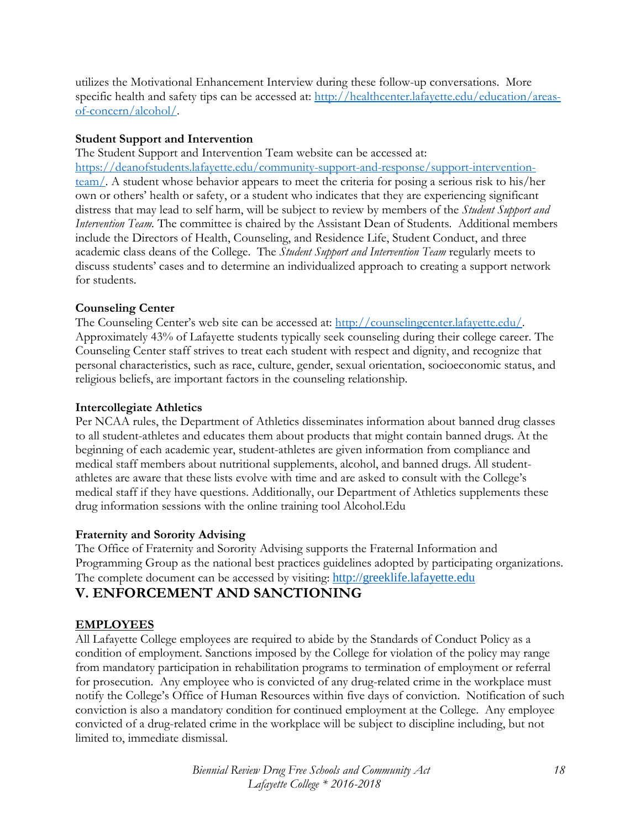utilizes the Motivational Enhancement Interview during these follow-up conversations. More specific health and safety tips can be accessed at: [http://healthcenter.lafayette.edu/education/areas](http://healthcenter.lafayette.edu/education/areas-of-concern/alcohol/)[of-concern/alcohol/.](http://healthcenter.lafayette.edu/education/areas-of-concern/alcohol/)

#### **Student Support and Intervention**

The Student Support and Intervention Team website can be accessed at: [https://deanofstudents.lafayette.edu/community-support-and-response/support-intervention](https://deanofstudents.lafayette.edu/community-support-and-response/support-intervention-team/)[team/.](https://deanofstudents.lafayette.edu/community-support-and-response/support-intervention-team/) A student whose behavior appears to meet the criteria for posing a serious risk to his/her own or others' health or safety, or a student who indicates that they are experiencing significant distress that may lead to self harm, will be subject to review by members of the *Student Support and Intervention Team.* The committee is chaired by the Assistant Dean of Students. Additional members include the Directors of Health, Counseling, and Residence Life, Student Conduct, and three academic class deans of the College. The *Student Support and Intervention Team* regularly meets to discuss students' cases and to determine an individualized approach to creating a support network for students.

#### **Counseling Center**

The Counseling Center's web site can be accessed at: [http://counselingcenter.lafayette.edu/.](http://counselingcenter.lafayette.edu/) Approximately 43% of Lafayette students typically seek counseling during their college career. The Counseling Center staff strives to treat each student with respect and dignity, and recognize that personal characteristics, such as race, culture, gender, sexual orientation, socioeconomic status, and religious beliefs, are important factors in the counseling relationship.

#### **Intercollegiate Athletics**

Per NCAA rules, the Department of Athletics disseminates information about banned drug classes to all student-athletes and educates them about products that might contain banned drugs. At the beginning of each academic year, student-athletes are given information from compliance and medical staff members about nutritional supplements, alcohol, and banned drugs. All studentathletes are aware that these lists evolve with time and are asked to consult with the College's medical staff if they have questions. Additionally, our Department of Athletics supplements these drug information sessions with the online training tool Alcohol.Edu

#### **Fraternity and Sorority Advising**

The Office of Fraternity and Sorority Advising supports the Fraternal Information and Programming Group as the national best practices guidelines adopted by participating organizations. The complete document can be accessed by visiting: [http://greeklife.lafayette.edu](http://greeklife.lafayette.edu/)

## **V. ENFORCEMENT AND SANCTIONING**

## **EMPLOYEES**

All Lafayette College employees are required to abide by the Standards of Conduct Policy as a condition of employment. Sanctions imposed by the College for violation of the policy may range from mandatory participation in rehabilitation programs to termination of employment or referral for prosecution. Any employee who is convicted of any drug-related crime in the workplace must notify the College's Office of Human Resources within five days of conviction. Notification of such conviction is also a mandatory condition for continued employment at the College. Any employee convicted of a drug-related crime in the workplace will be subject to discipline including, but not limited to, immediate dismissal.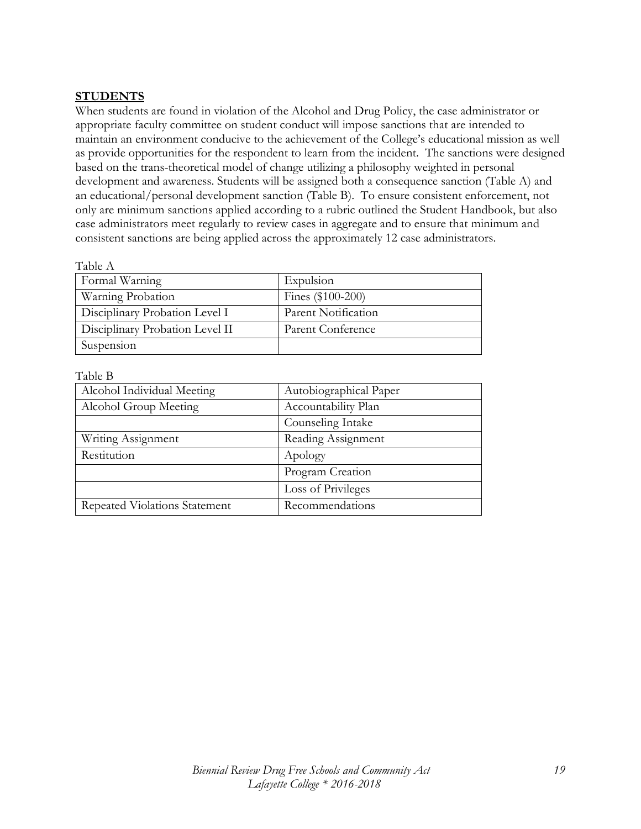#### **STUDENTS**

When students are found in violation of the Alcohol and Drug Policy, the case administrator or appropriate faculty committee on student conduct will impose sanctions that are intended to maintain an environment conducive to the achievement of the College's educational mission as well as provide opportunities for the respondent to learn from the incident. The sanctions were designed based on the trans-theoretical model of change utilizing a philosophy weighted in personal development and awareness. Students will be assigned both a consequence sanction (Table A) and an educational/personal development sanction (Table B). To ensure consistent enforcement, not only are minimum sanctions applied according to a rubric outlined the Student Handbook, but also case administrators meet regularly to review cases in aggregate and to ensure that minimum and consistent sanctions are being applied across the approximately 12 case administrators.

| Table A                         |                     |  |  |
|---------------------------------|---------------------|--|--|
| Formal Warning                  | Expulsion           |  |  |
| Warning Probation               | Fines (\$100-200)   |  |  |
| Disciplinary Probation Level I  | Parent Notification |  |  |
| Disciplinary Probation Level II | Parent Conference   |  |  |
| Suspension                      |                     |  |  |

#### Table B

| Alcohol Individual Meeting    | Autobiographical Paper |  |
|-------------------------------|------------------------|--|
| Alcohol Group Meeting         | Accountability Plan    |  |
|                               | Counseling Intake      |  |
| Writing Assignment            | Reading Assignment     |  |
| Restitution                   | Apology                |  |
|                               | Program Creation       |  |
|                               | Loss of Privileges     |  |
| Repeated Violations Statement | Recommendations        |  |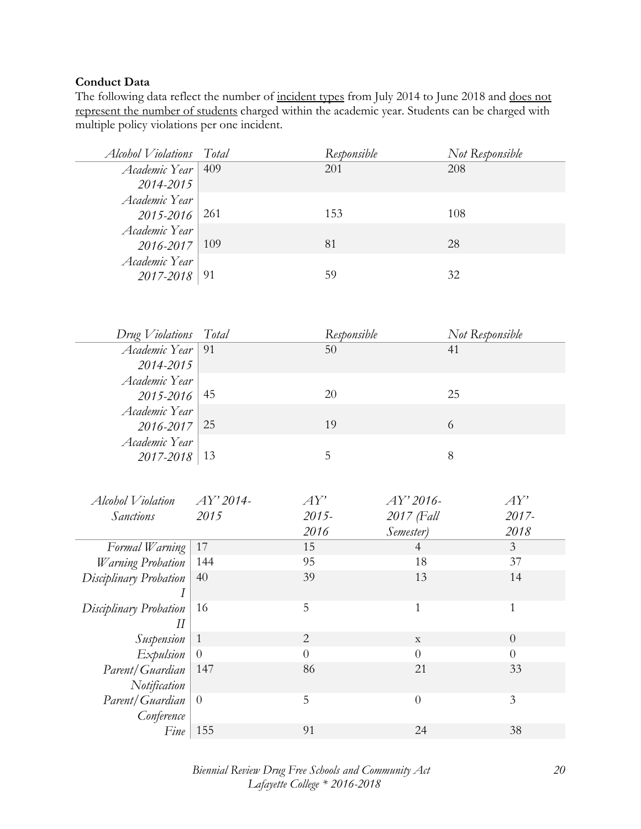#### **Conduct Data**

The following data reflect the number of incident types from July 2014 to June 2018 and does not represent the number of students charged within the academic year. Students can be charged with multiple policy violations per one incident.

| Alcohol Violations       | Total        | Responsible    |                  | Not Responsible |                  |
|--------------------------|--------------|----------------|------------------|-----------------|------------------|
| Academic Year            | 409          | 201            |                  | 208             |                  |
| 2014-2015                |              |                |                  |                 |                  |
| Academic Year            |              |                |                  |                 |                  |
| 2015-2016                | 261          | 153            |                  | 108             |                  |
| Academic Year            |              |                |                  |                 |                  |
| 2016-2017                | 109          | 81             |                  | 28              |                  |
| Academic Year            |              |                |                  |                 |                  |
| $2017 - 2018$            | 91           | 59             |                  | 32              |                  |
|                          |              |                |                  |                 |                  |
|                          |              |                |                  |                 |                  |
| Drug Violations          | Total        | Responsible    |                  | Not Responsible |                  |
| Academic Year            | 91           | 50             |                  | 41              |                  |
| 2014-2015                |              |                |                  |                 |                  |
| Academic Year            |              |                |                  |                 |                  |
| 2015-2016                | 45           | 20             |                  | 25              |                  |
| Academic Year            |              |                |                  |                 |                  |
| 2016-2017                | 25           | 19             |                  | 6               |                  |
| Academic Year            |              |                |                  |                 |                  |
| 2017-2018                | 13           | 5              |                  | $8\,$           |                  |
|                          |              |                |                  |                 |                  |
|                          |              |                |                  |                 |                  |
| Alcohol Violation        | AY' 2014-    | AY'            | AY' 2016-        |                 | AY'              |
| <b>Sanctions</b>         | 2015         | 2015-          | 2017 (Fall       |                 | 2017-            |
|                          |              | 2016           | Semester)        |                 | 2018             |
| Formal Warning           | 17           | 15             | $\overline{4}$   |                 | $\mathfrak{Z}$   |
| <b>Warning Probation</b> | 144          | 95             | 18               |                 | 37               |
| Disciplinary Probation   | 40           | 39             | 13               |                 | 14               |
|                          |              |                |                  |                 |                  |
| Disciplinary Probation   | 16           | 5              | $\mathbf{1}$     |                 | $\mathbf{1}$     |
| $I\!I$                   |              |                |                  |                 |                  |
| Suspension               | $\mathbf{1}$ | $\overline{2}$ | $\mathbf X$      |                 | $\theta$         |
| Expulsion                | $\theta$     | $\overline{0}$ | $\theta$         |                 | $\boldsymbol{0}$ |
| Parent/Guardian          | 147          | 86             | 21               |                 | 33               |
| Notification             |              |                |                  |                 |                  |
| Parent/Guardian          | $\theta$     | 5              | $\boldsymbol{0}$ |                 | $\mathfrak{Z}$   |
| Conference               |              |                |                  |                 |                  |
| Fine                     | 155          | 91             | 24               |                 | 38               |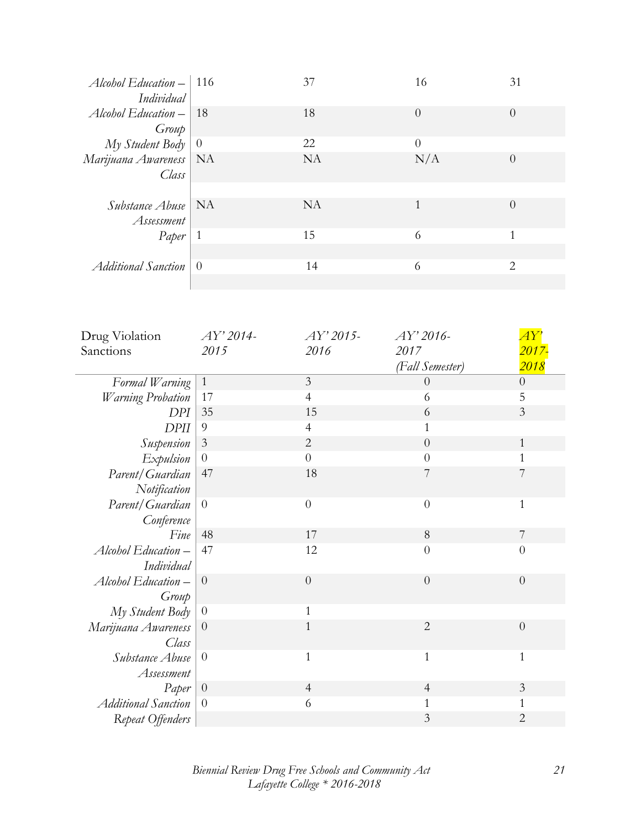| Alcohol Education $-$ 116<br>Individual   |              | 37        | 16             | 31                       |
|-------------------------------------------|--------------|-----------|----------------|--------------------------|
| $\Delta$ lcohol Education –   18<br>Group |              | 18        | $\overline{0}$ | $\theta$                 |
| $My$ Student Body $\vert 0 \rangle$       |              | 22        | $\Omega$       |                          |
| Marijuana Awareness   NA<br>Class         |              | <b>NA</b> | N/A            | $\theta$                 |
|                                           |              |           |                |                          |
| <i>Substance Abuse</i>   NA<br>Assessment |              | NA.       | 1              | $\left($                 |
| Paper                                     | $\mathbf{1}$ | 15        | 6              | $\overline{\phantom{a}}$ |
| Additional Sanction                       | $\theta$     | 14        | 6              | 2                        |

| Drug Violation             | AY' 2014-        | $AY'$ 2015-    | AY' 2016-       | AY'                |
|----------------------------|------------------|----------------|-----------------|--------------------|
| Sanctions                  | 2015             | 2016           | 2017            | <mark>2017-</mark> |
|                            |                  |                | (Fall Semester) | 2018               |
| Formal Warning             | $\mathbf{1}$     | $\overline{3}$ | $\theta$        | $\boldsymbol{0}$   |
| <b>Warning Probation</b>   | 17               | $\overline{4}$ | 6               | 5                  |
| <b>DPI</b>                 | 35               | 15             | 6               | $\mathfrak{Z}$     |
| <b>DPII</b>                | $\overline{9}$   | 4              | $\mathbf{1}$    |                    |
| Suspension                 | 3                | $\overline{2}$ | $\overline{0}$  | $\mathbf{1}$       |
| Expulsion                  | $\boldsymbol{0}$ | $\overline{0}$ | $\overline{0}$  | $\mathbf{1}$       |
| Parent/Guardian            | 47               | 18             | 7               | 7                  |
| Notification               |                  |                |                 |                    |
| Parent/Guardian            | $\overline{0}$   | $\overline{0}$ | $\overline{0}$  | $\mathbf{1}$       |
| Conference                 |                  |                |                 |                    |
| Fine                       | 48               | 17             | 8               | 7                  |
| Alcohol Education-         | 47               | 12             | $\overline{0}$  | $\theta$           |
| Individual                 |                  |                |                 |                    |
| Alcohol Education-         | $\theta$         | $\theta$       | $\theta$        | $\theta$           |
| Group                      |                  |                |                 |                    |
| My Student Body            | $\overline{0}$   | $\mathbf{1}$   |                 |                    |
| Marijuana Awareness        | $\theta$         | $\mathbf{1}$   | $\overline{2}$  | $\theta$           |
| Class                      |                  |                |                 |                    |
| Substance Abuse            | $\theta$         | $\mathbf{1}$   | $\mathbf{1}$    | $\mathbf{1}$       |
| Assessment                 |                  |                |                 |                    |
| Paper                      | $\theta$         | $\overline{4}$ | $\overline{4}$  | $\mathfrak{Z}$     |
| <b>Additional Sanction</b> | $\overline{0}$   | 6              | $\mathbf{1}$    | $\mathbf{1}$       |
| Repeat Offenders           |                  |                | 3               | $\overline{2}$     |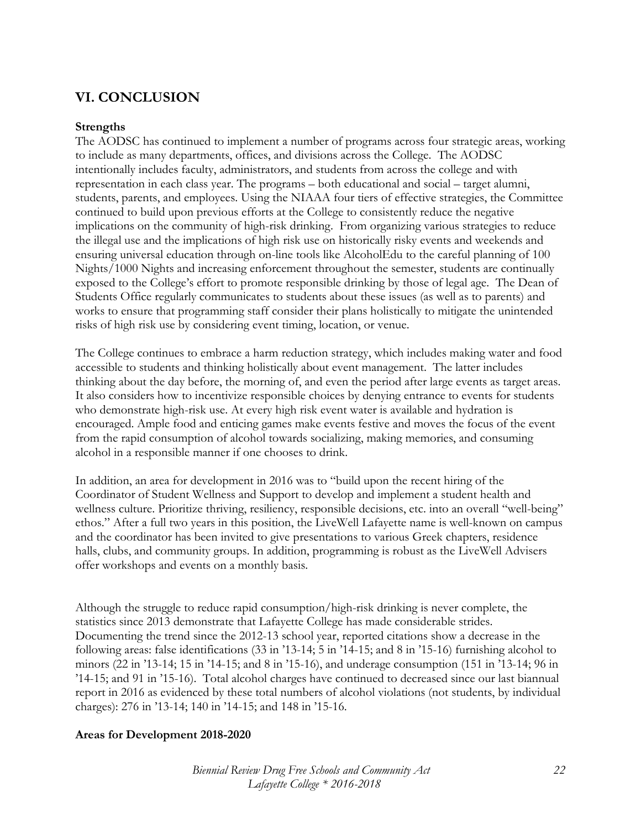# **VI. CONCLUSION**

#### **Strengths**

The AODSC has continued to implement a number of programs across four strategic areas, working to include as many departments, offices, and divisions across the College. The AODSC intentionally includes faculty, administrators, and students from across the college and with representation in each class year. The programs – both educational and social – target alumni, students, parents, and employees. Using the NIAAA four tiers of effective strategies, the Committee continued to build upon previous efforts at the College to consistently reduce the negative implications on the community of high-risk drinking. From organizing various strategies to reduce the illegal use and the implications of high risk use on historically risky events and weekends and ensuring universal education through on-line tools like AlcoholEdu to the careful planning of 100 Nights/1000 Nights and increasing enforcement throughout the semester, students are continually exposed to the College's effort to promote responsible drinking by those of legal age. The Dean of Students Office regularly communicates to students about these issues (as well as to parents) and works to ensure that programming staff consider their plans holistically to mitigate the unintended risks of high risk use by considering event timing, location, or venue.

The College continues to embrace a harm reduction strategy, which includes making water and food accessible to students and thinking holistically about event management. The latter includes thinking about the day before, the morning of, and even the period after large events as target areas. It also considers how to incentivize responsible choices by denying entrance to events for students who demonstrate high-risk use. At every high risk event water is available and hydration is encouraged. Ample food and enticing games make events festive and moves the focus of the event from the rapid consumption of alcohol towards socializing, making memories, and consuming alcohol in a responsible manner if one chooses to drink.

In addition, an area for development in 2016 was to "build upon the recent hiring of the Coordinator of Student Wellness and Support to develop and implement a student health and wellness culture. Prioritize thriving, resiliency, responsible decisions, etc. into an overall "well-being" ethos." After a full two years in this position, the LiveWell Lafayette name is well-known on campus and the coordinator has been invited to give presentations to various Greek chapters, residence halls, clubs, and community groups. In addition, programming is robust as the LiveWell Advisers offer workshops and events on a monthly basis.

Although the struggle to reduce rapid consumption/high-risk drinking is never complete, the statistics since 2013 demonstrate that Lafayette College has made considerable strides. Documenting the trend since the 2012-13 school year, reported citations show a decrease in the following areas: false identifications (33 in '13-14; 5 in '14-15; and 8 in '15-16) furnishing alcohol to minors (22 in '13-14; 15 in '14-15; and 8 in '15-16), and underage consumption (151 in '13-14; 96 in '14-15; and 91 in '15-16). Total alcohol charges have continued to decreased since our last biannual report in 2016 as evidenced by these total numbers of alcohol violations (not students, by individual charges): 276 in '13-14; 140 in '14-15; and 148 in '15-16.

#### **Areas for Development 2018-2020**